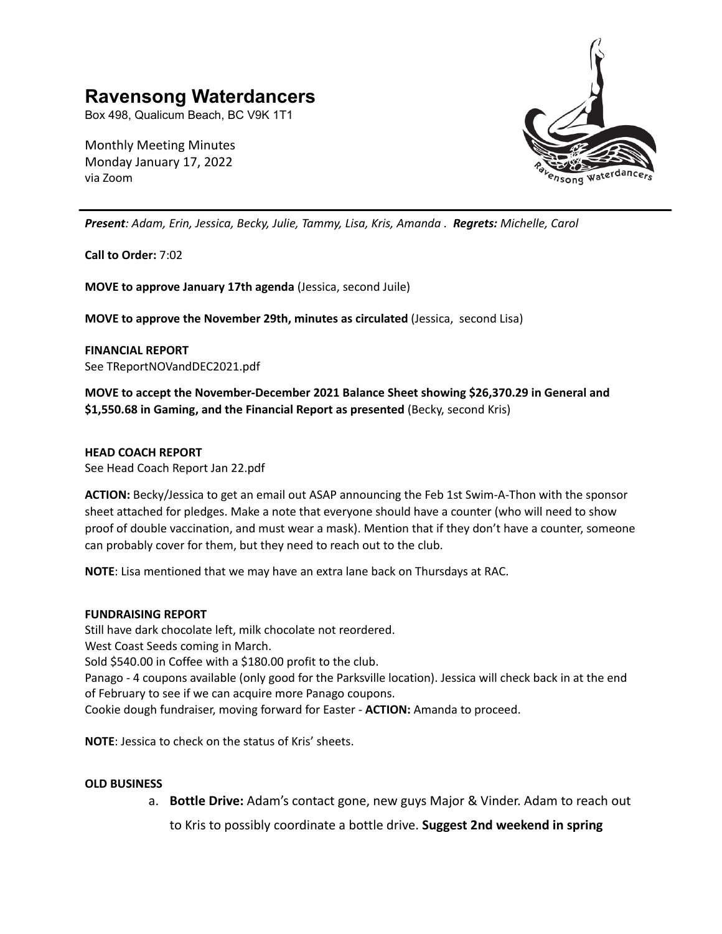# **Ravensong Waterdancers**

Box 498, Qualicum Beach, BC V9K 1T1

Monthly Meeting Minutes Monday January 17, 2022 via Zoom



*Present: Adam, Erin, Jessica, Becky, Julie, Tammy, Lisa, Kris, Amanda . Regrets: Michelle, Carol*

**Call to Order:** 7:02

**MOVE to approve January 17th agenda** (Jessica, second Juile)

**MOVE to approve the November 29th, minutes as circulated** (Jessica, second Lisa)

**FINANCIAL REPORT** See TReportNOVandDEC2021.pdf

**MOVE to accept the November-December 2021 Balance Sheet showing \$26,370.29 in General and \$1,550.68 in Gaming, and the Financial Report as presented** (Becky, second Kris)

### **HEAD COACH REPORT**

See Head Coach Report Jan 22.pdf

**ACTION:** Becky/Jessica to get an email out ASAP announcing the Feb 1st Swim-A-Thon with the sponsor sheet attached for pledges. Make a note that everyone should have a counter (who will need to show proof of double vaccination, and must wear a mask). Mention that if they don't have a counter, someone can probably cover for them, but they need to reach out to the club.

**NOTE**: Lisa mentioned that we may have an extra lane back on Thursdays at RAC.

### **FUNDRAISING REPORT**

Still have dark chocolate left, milk chocolate not reordered. West Coast Seeds coming in March. Sold \$540.00 in Coffee with a \$180.00 profit to the club. Panago - 4 coupons available (only good for the Parksville location). Jessica will check back in at the end of February to see if we can acquire more Panago coupons. Cookie dough fundraiser, moving forward for Easter - **ACTION:** Amanda to proceed.

**NOTE**: Jessica to check on the status of Kris' sheets.

### **OLD BUSINESS**

a. **Bottle Drive:** Adam's contact gone, new guys Major & Vinder. Adam to reach out

to Kris to possibly coordinate a bottle drive. **Suggest 2nd weekend in spring**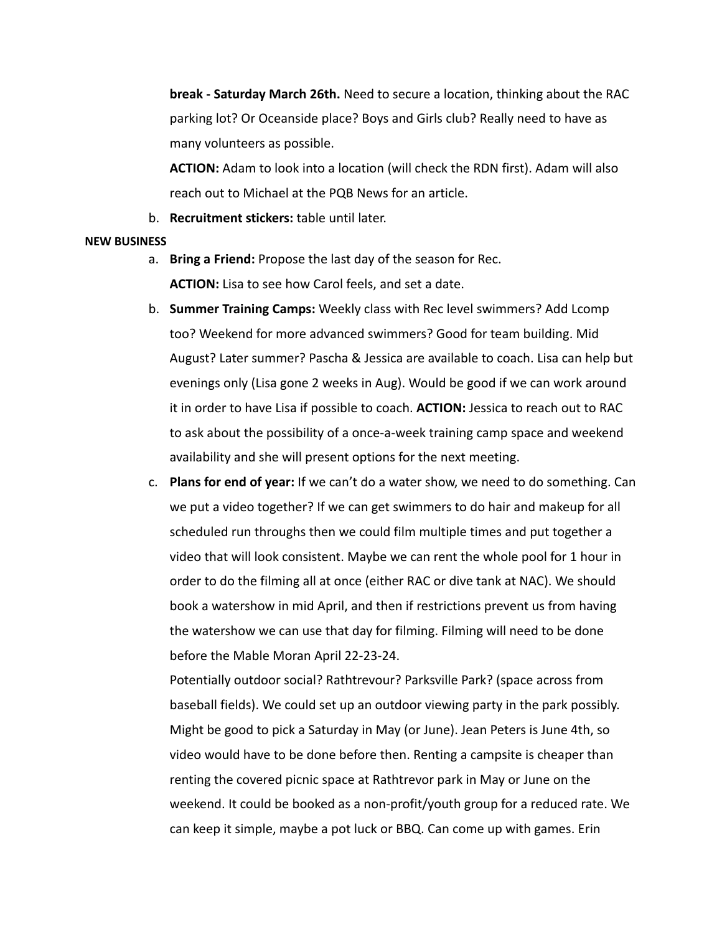**break - Saturday March 26th.** Need to secure a location, thinking about the RAC parking lot? Or Oceanside place? Boys and Girls club? Really need to have as many volunteers as possible.

**ACTION:** Adam to look into a location (will check the RDN first). Adam will also reach out to Michael at the PQB News for an article.

b. **Recruitment stickers:** table until later.

## **NEW BUSINESS**

- a. **Bring a Friend:** Propose the last day of the season for Rec. **ACTION:** Lisa to see how Carol feels, and set a date.
- b. **Summer Training Camps:** Weekly class with Rec level swimmers? Add Lcomp too? Weekend for more advanced swimmers? Good for team building. Mid August? Later summer? Pascha & Jessica are available to coach. Lisa can help but evenings only (Lisa gone 2 weeks in Aug). Would be good if we can work around it in order to have Lisa if possible to coach. **ACTION:** Jessica to reach out to RAC to ask about the possibility of a once-a-week training camp space and weekend availability and she will present options for the next meeting.
- c. **Plans for end of year:** If we can't do a water show, we need to do something. Can we put a video together? If we can get swimmers to do hair and makeup for all scheduled run throughs then we could film multiple times and put together a video that will look consistent. Maybe we can rent the whole pool for 1 hour in order to do the filming all at once (either RAC or dive tank at NAC). We should book a watershow in mid April, and then if restrictions prevent us from having the watershow we can use that day for filming. Filming will need to be done before the Mable Moran April 22-23-24.

Potentially outdoor social? Rathtrevour? Parksville Park? (space across from baseball fields). We could set up an outdoor viewing party in the park possibly. Might be good to pick a Saturday in May (or June). Jean Peters is June 4th, so video would have to be done before then. Renting a campsite is cheaper than renting the covered picnic space at Rathtrevor park in May or June on the weekend. It could be booked as a non-profit/youth group for a reduced rate. We can keep it simple, maybe a pot luck or BBQ. Can come up with games. Erin